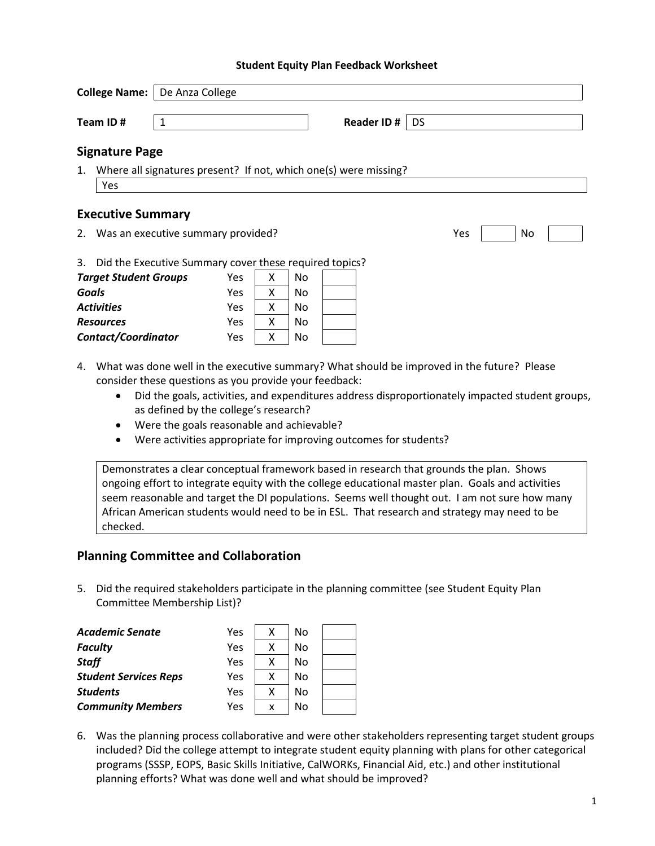#### **Student Equity Plan Feedback Worksheet**

| <b>College Name:</b>   De Anza College |                                                           |   |            |    |           |                                                                  |     |    |  |
|----------------------------------------|-----------------------------------------------------------|---|------------|----|-----------|------------------------------------------------------------------|-----|----|--|
|                                        | Team ID#                                                  | 1 |            |    |           | <b>Reader ID#</b>                                                | DS  |    |  |
|                                        | <b>Signature Page</b>                                     |   |            |    |           |                                                                  |     |    |  |
| 1.                                     |                                                           |   |            |    |           | Where all signatures present? If not, which one(s) were missing? |     |    |  |
|                                        | Yes                                                       |   |            |    |           |                                                                  |     |    |  |
|                                        | <b>Executive Summary</b>                                  |   |            |    |           |                                                                  |     |    |  |
|                                        | 2. Was an executive summary provided?                     |   |            |    |           |                                                                  | Yes | No |  |
|                                        | 3. Did the Executive Summary cover these required topics? |   |            |    |           |                                                                  |     |    |  |
|                                        | <b>Target Student Groups</b>                              |   | <b>Yes</b> | x  | <b>No</b> |                                                                  |     |    |  |
| Goals                                  |                                                           |   | <b>Yes</b> | X. | <b>No</b> |                                                                  |     |    |  |
| <b>Activities</b>                      |                                                           |   | <b>Yes</b> | x  | <b>No</b> |                                                                  |     |    |  |
| <b>Resources</b>                       |                                                           |   | <b>Yes</b> | X. | No        |                                                                  |     |    |  |
| Contact/Coordinator                    |                                                           |   | Yes        | X  | No        |                                                                  |     |    |  |

- 4. What was done well in the executive summary? What should be improved in the future? Please consider these questions as you provide your feedback:
	- Did the goals, activities, and expenditures address disproportionately impacted student groups, as defined by the college's research?
	- Were the goals reasonable and achievable?
	- Were activities appropriate for improving outcomes for students?

Demonstrates a clear conceptual framework based in research that grounds the plan. Shows ongoing effort to integrate equity with the college educational master plan. Goals and activities seem reasonable and target the DI populations. Seems well thought out. I am not sure how many African American students would need to be in ESL. That research and strategy may need to be checked.

## **Planning Committee and Collaboration**

5. Did the required stakeholders participate in the planning committee (see Student Equity Plan Committee Membership List)?

| Academic Senate              | Yes | х | No |  |
|------------------------------|-----|---|----|--|
| <b>Faculty</b>               | Yes | Χ | No |  |
| <b>Staff</b>                 | Yes | х | No |  |
| <b>Student Services Reps</b> | Yes | Χ | No |  |
| <b>Students</b>              | Yes | Χ | No |  |
| <b>Community Members</b>     | Yes | x | No |  |

6. Was the planning process collaborative and were other stakeholders representing target student groups included? Did the college attempt to integrate student equity planning with plans for other categorical programs (SSSP, EOPS, Basic Skills Initiative, CalWORKs, Financial Aid, etc.) and other institutional planning efforts? What was done well and what should be improved?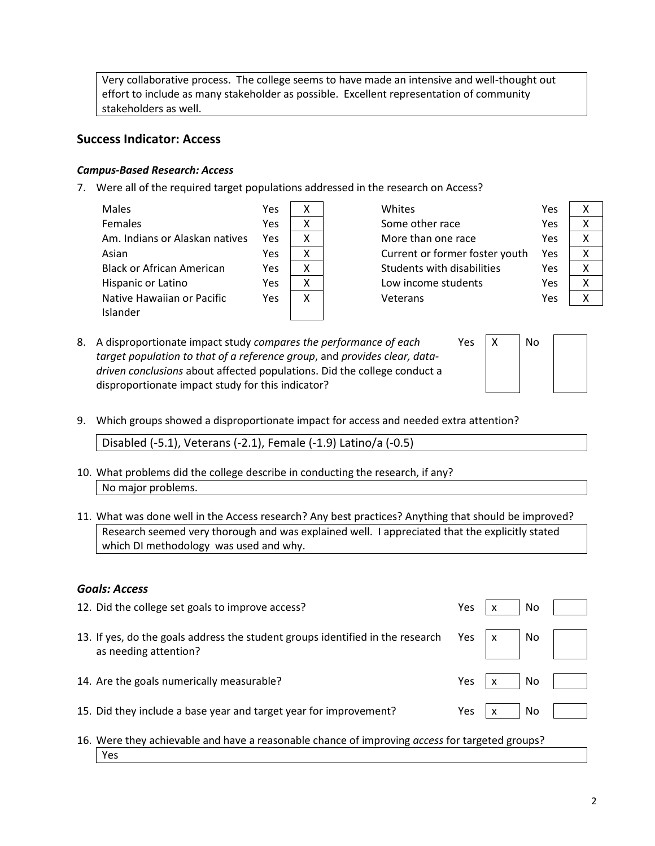Very collaborative process. The college seems to have made an intensive and well-thought out effort to include as many stakeholder as possible. Excellent representation of community stakeholders as well.

## **Success Indicator: Access**

## *Campus-Based Research: Access*

7. Were all of the required target populations addressed in the research on Access?

| <b>Males</b>                   | Yes |   |
|--------------------------------|-----|---|
| <b>Females</b>                 | Yes | x |
| Am. Indians or Alaskan natives | Yes | x |
| Asian                          | Yes | x |
| Black or African American      | Yes | x |
| Hispanic or Latino             | Yes | x |
| Native Hawaiian or Pacific     | Yes | x |
| Islander                       |     |   |
|                                |     |   |

Whites Yes X Some other race Yes More than one race Ye Current or former foster youth Ye Students with disabilities The Me Low income students The Xes Veterans Ye

Yes  $\vert x \vert$ 

| ΞŚ | Χ |
|----|---|
| ëS | Χ |
| ëS | x |
| ës | x |
| ëS | x |
| ΞŚ | x |
| ëS | x |
|    |   |

8. A disproportionate impact study *compares the performance of each target population to that of a reference group*, and *provides clear, datadriven conclusions* about affected populations. Did the college conduct a disproportionate impact study for this indicator?

| No |  |
|----|--|
|    |  |
|    |  |
|    |  |

9. Which groups showed a disproportionate impact for access and needed extra attention?

Disabled (-5.1), Veterans (-2.1), Female (-1.9) Latino/a (-0.5)

- 10. What problems did the college describe in conducting the research, if any? No major problems.
- 11. What was done well in the Access research? Any best practices? Anything that should be improved? Research seemed very thorough and was explained well. I appreciated that the explicitly stated which DI methodology was used and why.

## *Goals: Access*

Yes

| 12. Did the college set goals to improve access?                                                                                                      | Yes | <b>No</b> |  |
|-------------------------------------------------------------------------------------------------------------------------------------------------------|-----|-----------|--|
| 13. If yes, do the goals address the student groups identified in the research Yes $\begin{vmatrix} x \\ y \end{vmatrix}$ No<br>as needing attention? |     |           |  |
| 14. Are the goals numerically measurable?                                                                                                             | Yes | No        |  |
| 15. Did they include a base year and target year for improvement?                                                                                     | Yes | No        |  |
| 16. Were they achievable and have a reasonable chance of improving access for targeted groups?                                                        |     |           |  |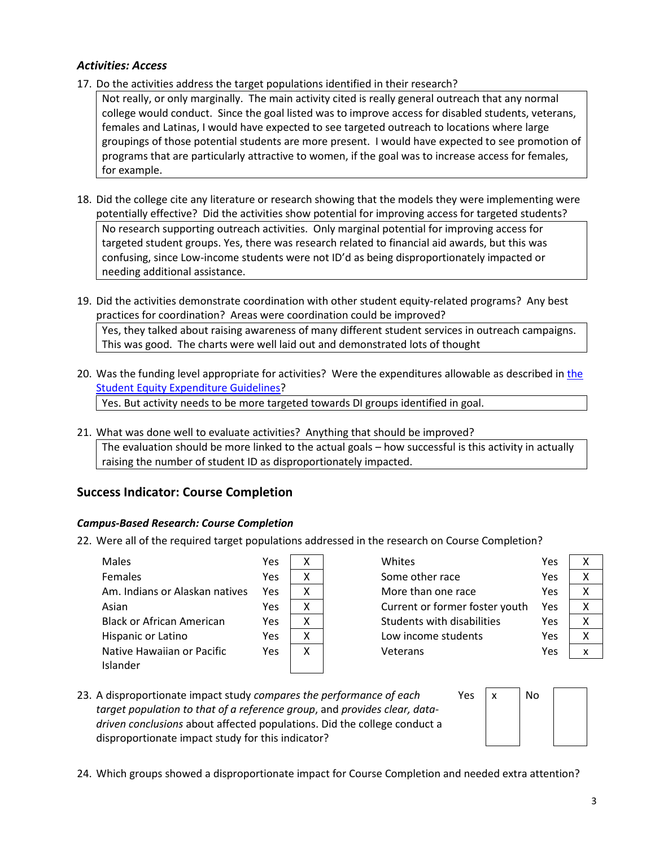### *Activities: Access*

- 17. Do the activities address the target populations identified in their research?
	- Not really, or only marginally. The main activity cited is really general outreach that any normal college would conduct. Since the goal listed was to improve access for disabled students, veterans, females and Latinas, I would have expected to see targeted outreach to locations where large groupings of those potential students are more present. I would have expected to see promotion of programs that are particularly attractive to women, if the goal was to increase access for females, for example.
- 18. Did the college cite any literature or research showing that the models they were implementing were potentially effective? Did the activities show potential for improving access for targeted students? No research supporting outreach activities. Only marginal potential for improving access for targeted student groups. Yes, there was research related to financial aid awards, but this was confusing, since Low-income students were not ID'd as being disproportionately impacted or needing additional assistance.
- 19. Did the activities demonstrate coordination with other student equity-related programs? Any best practices for coordination? Areas were coordination could be improved? Yes, they talked about raising awareness of many different student services in outreach campaigns. This was good. The charts were well laid out and demonstrated lots of thought
- 20. Was the funding level appropriate for activities? Were the expenditures allowable as described in [the](http://extranet.cccco.edu/Portals/1/SSSP/StudentEquity/Student_Equity_Expenditure_Guidelines_2015-16_Final.pdf)  [Student Equity Expenditure Guidelines?](http://extranet.cccco.edu/Portals/1/SSSP/StudentEquity/Student_Equity_Expenditure_Guidelines_2015-16_Final.pdf) Yes. But activity needs to be more targeted towards DI groups identified in goal.
- 21. What was done well to evaluate activities? Anything that should be improved? The evaluation should be more linked to the actual goals – how successful is this activity in actually raising the number of student ID as disproportionately impacted.

# **Success Indicator: Course Completion**

## *Campus-Based Research: Course Completion*

22. Were all of the required target populations addressed in the research on Course Completion?

 $\overline{\mathsf{x}}$ 

| Males                            | Yes | x |
|----------------------------------|-----|---|
| <b>Females</b>                   | Yes | x |
| Am. Indians or Alaskan natives   | Yes | х |
| Asian                            | Yes | x |
| <b>Black or African American</b> | Yes | χ |
| Hispanic or Latino               | Yes | x |
| Native Hawaiian or Pacific       | Yes | χ |
| Islander                         |     |   |
|                                  |     |   |

| Some other race<br>Yes<br>More than one race<br>Yes<br>Current or former foster youth<br>Yes<br>Students with disabilities<br>Yes<br>Low income students<br>Yes<br>Yes<br>Veterans | Whites | Yes | x |
|------------------------------------------------------------------------------------------------------------------------------------------------------------------------------------|--------|-----|---|
|                                                                                                                                                                                    |        |     | χ |
|                                                                                                                                                                                    |        |     | χ |
|                                                                                                                                                                                    |        |     | χ |
|                                                                                                                                                                                    |        |     | x |
|                                                                                                                                                                                    |        |     | χ |
|                                                                                                                                                                                    |        |     | x |

23. A disproportionate impact study *compares the performance of each target population to that of a reference group*, and *provides clear, datadriven conclusions* about affected populations. Did the college conduct a disproportionate impact study for this indicator?



24. Which groups showed a disproportionate impact for Course Completion and needed extra attention?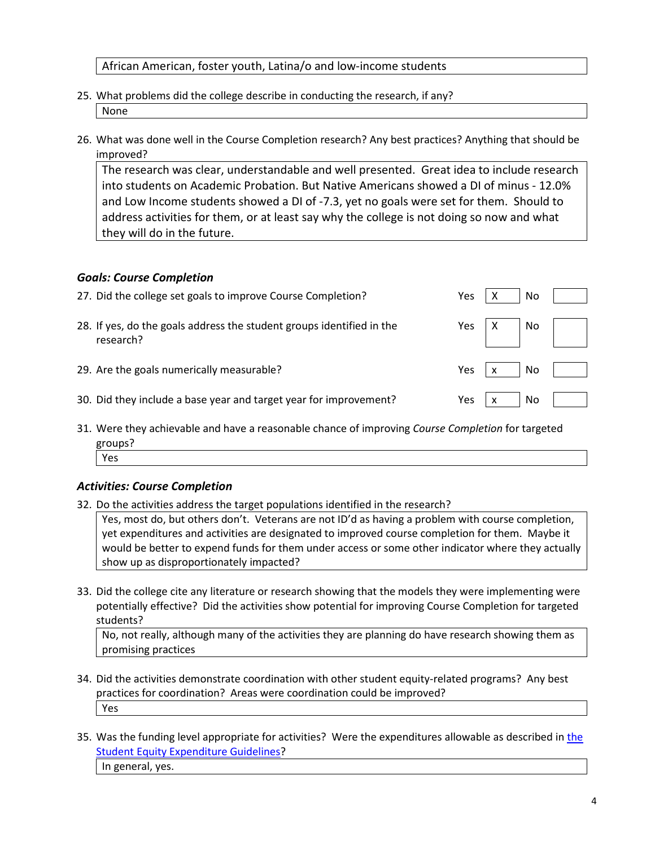African American, foster youth, Latina/o and low-income students

- 25. What problems did the college describe in conducting the research, if any? None
- 26. What was done well in the Course Completion research? Any best practices? Anything that should be improved?

The research was clear, understandable and well presented. Great idea to include research into students on Academic Probation. But Native Americans showed a DI of minus - 12.0% and Low Income students showed a DI of -7.3, yet no goals were set for them. Should to address activities for them, or at least say why the college is not doing so now and what they will do in the future.

## *Goals: Course Completion*

| 27. Did the college set goals to improve Course Completion?                        | Yes | N <sub>o</sub> |  |
|------------------------------------------------------------------------------------|-----|----------------|--|
| 28. If yes, do the goals address the student groups identified in the<br>research? | Yes | $X$ No $\vert$ |  |
| 29. Are the goals numerically measurable?                                          | Yes | N <sub>o</sub> |  |
| 30. Did they include a base year and target year for improvement?                  | Yes | No.            |  |

31. Were they achievable and have a reasonable chance of improving *Course Completion* for targeted groups? Yes

## *Activities: Course Completion*

32. Do the activities address the target populations identified in the research?

Yes, most do, but others don't. Veterans are not ID'd as having a problem with course completion, yet expenditures and activities are designated to improved course completion for them. Maybe it would be better to expend funds for them under access or some other indicator where they actually show up as disproportionately impacted?

33. Did the college cite any literature or research showing that the models they were implementing were potentially effective? Did the activities show potential for improving Course Completion for targeted students?

No, not really, although many of the activities they are planning do have research showing them as promising practices

- 34. Did the activities demonstrate coordination with other student equity-related programs? Any best practices for coordination? Areas were coordination could be improved? Yes
- 35. Was [the](http://extranet.cccco.edu/Portals/1/SSSP/StudentEquity/Student_Equity_Expenditure_Guidelines_2015-16_Final.pdf) funding level appropriate for activities? Were the expenditures allowable as described in the [Student Equity Expenditure Guidelines?](http://extranet.cccco.edu/Portals/1/SSSP/StudentEquity/Student_Equity_Expenditure_Guidelines_2015-16_Final.pdf) In general, yes.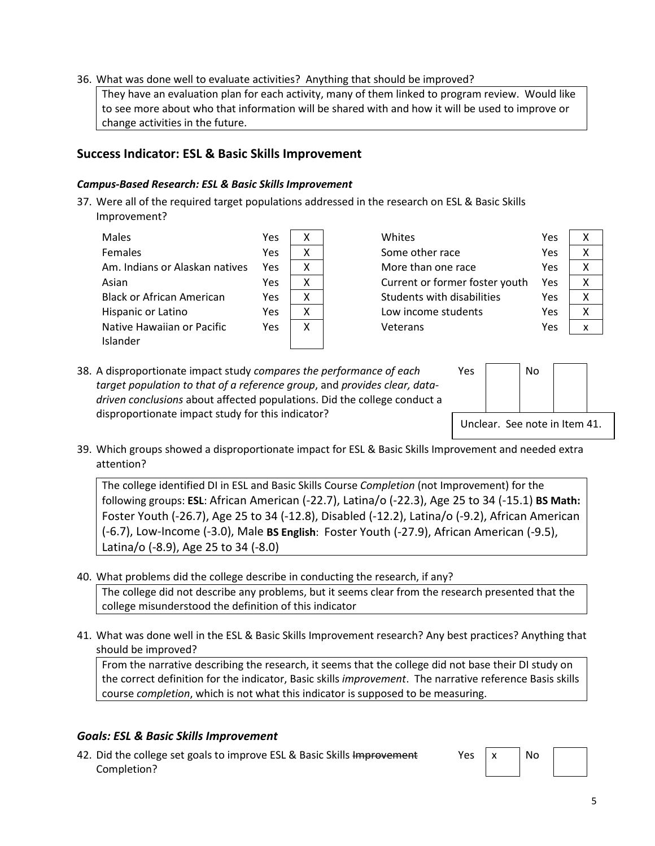### 36. What was done well to evaluate activities? Anything that should be improved?

They have an evaluation plan for each activity, many of them linked to program review. Would like to see more about who that information will be shared with and how it will be used to improve or change activities in the future.

## **Success Indicator: ESL & Basic Skills Improvement**

#### *Campus-Based Research: ESL & Basic Skills Improvement*

37. Were all of the required target populations addressed in the research on ESL & Basic Skills Improvement?

| <b>Males</b>                     | Yes | x |
|----------------------------------|-----|---|
| Females                          | Yes | x |
| Am. Indians or Alaskan natives   | Yes | x |
| Asian                            | Yes | x |
| <b>Black or African American</b> | Yes | x |
| Hispanic or Latino               | Yes | x |
| Native Hawaiian or Pacific       | Yes | x |
| Islander                         |     |   |

| Whites                            | Yes | x |
|-----------------------------------|-----|---|
| Some other race                   | Yes | χ |
| More than one race                | Yes | x |
| Current or former foster youth    | Yes | χ |
| <b>Students with disabilities</b> | Yes | χ |
| Low income students               | Yes | χ |
| Veterans                          | Yes |   |

| S | Χ |
|---|---|
| S | X |
| S | X |
| S | X |
| S | x |
| Ś | Χ |
| S | X |

38. A disproportionate impact study *compares the performance of each target population to that of a reference group*, and *provides clear, datadriven conclusions* about affected populations. Did the college conduct a disproportionate impact study for this indicator?



39. Which groups showed a disproportionate impact for ESL & Basic Skills Improvement and needed extra attention?

The college identified DI in ESL and Basic Skills Course *Completion* (not Improvement) for the following groups: **ESL**: African American (-22.7), Latina/o (-22.3), Age 25 to 34 (-15.1) **BS Math:** Foster Youth (-26.7), Age 25 to 34 (-12.8), Disabled (-12.2), Latina/o (-9.2), African American (-6.7), Low-Income (-3.0), Male **BS English**: Foster Youth (-27.9), African American (-9.5), Latina/o (-8.9), Age 25 to 34 (-8.0)

- 40. What problems did the college describe in conducting the research, if any? The college did not describe any problems, but it seems clear from the research presented that the college misunderstood the definition of this indicator
- 41. What was done well in the ESL & Basic Skills Improvement research? Any best practices? Anything that should be improved?

From the narrative describing the research, it seems that the college did not base their DI study on the correct definition for the indicator, Basic skills *improvement*. The narrative reference Basis skills course *completion*, which is not what this indicator is supposed to be measuring.

## *Goals: ESL & Basic Skills Improvement*

42. Did the college set goals to improve ESL & Basic Skills Improvement Completion?

 $Yes \mid x \mid No$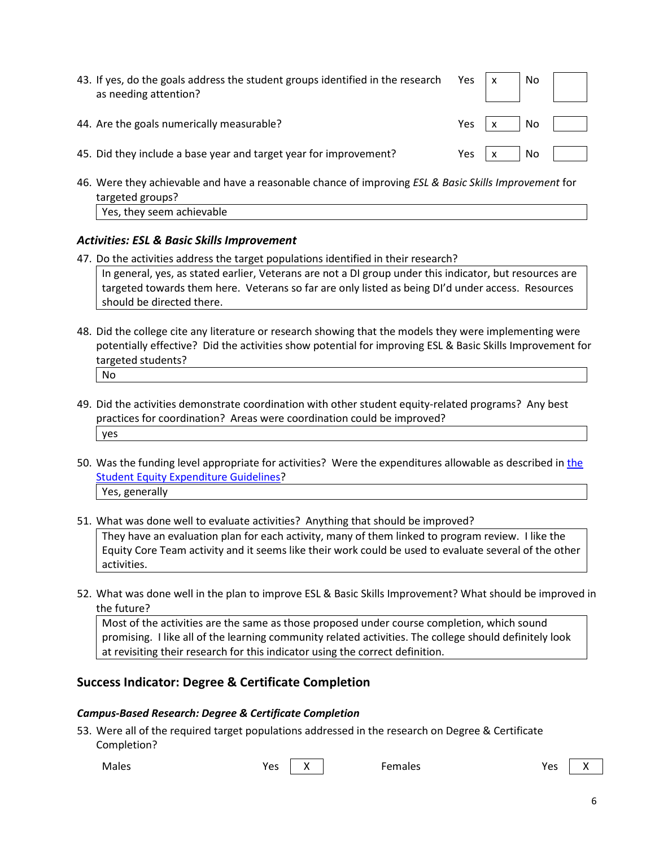| 43. If yes, do the goals address the student groups identified in the research Yes $\vert x \vert$<br>as needing attention? |      | N <sub>O</sub> |  |
|-----------------------------------------------------------------------------------------------------------------------------|------|----------------|--|
| 44. Are the goals numerically measurable?                                                                                   | Yes  | l No           |  |
| 45. Did they include a base year and target year for improvement?                                                           | Yes. | No.            |  |

46. Were they achievable and have a reasonable chance of improving *ESL & Basic Skills Improvement* for targeted groups? Yes, they seem achievable

### *Activities: ESL & Basic Skills Improvement*

- 47. Do the activities address the target populations identified in their research? In general, yes, as stated earlier, Veterans are not a DI group under this indicator, but resources are targeted towards them here. Veterans so far are only listed as being DI'd under access. Resources should be directed there.
- 48. Did the college cite any literature or research showing that the models they were implementing were potentially effective? Did the activities show potential for improving ESL & Basic Skills Improvement for targeted students? No
- 49. Did the activities demonstrate coordination with other student equity-related programs? Any best practices for coordination? Areas were coordination could be improved? yes
- 50. Was the funding level appropriate for activities? Were the expenditures allowable as described in [the](http://extranet.cccco.edu/Portals/1/SSSP/StudentEquity/Student_Equity_Expenditure_Guidelines_2015-16_Final.pdf)  [Student Equity Expenditure Guidelines?](http://extranet.cccco.edu/Portals/1/SSSP/StudentEquity/Student_Equity_Expenditure_Guidelines_2015-16_Final.pdf) Yes, generally
- 51. What was done well to evaluate activities? Anything that should be improved?

They have an evaluation plan for each activity, many of them linked to program review. I like the Equity Core Team activity and it seems like their work could be used to evaluate several of the other activities.

52. What was done well in the plan to improve ESL & Basic Skills Improvement? What should be improved in the future?

Most of the activities are the same as those proposed under course completion, which sound promising. I like all of the learning community related activities. The college should definitely look at revisiting their research for this indicator using the correct definition.

## **Success Indicator: Degree & Certificate Completion**

#### *Campus-Based Research: Degree & Certificate Completion*

53. Were all of the required target populations addressed in the research on Degree & Certificate Completion?

Males Yes X Females Yes X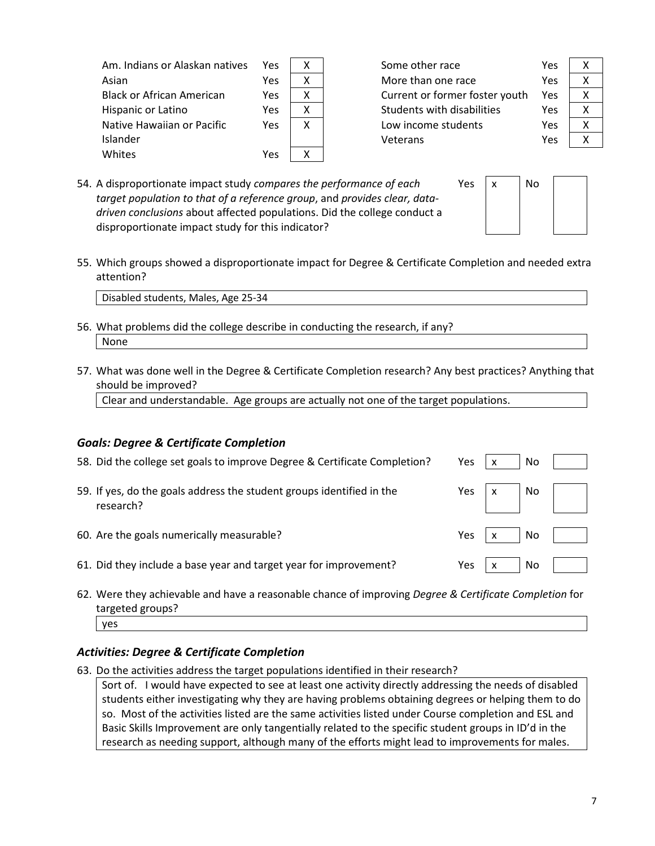| Am. Indians or Alaskan natives   | Yes |   | Some other race                | Yes        | Χ |
|----------------------------------|-----|---|--------------------------------|------------|---|
| Asian                            | Yes |   | More than one race             |            | Χ |
| <b>Black or African American</b> | Yes | х | Current or former foster youth | Yes        | Χ |
| Hispanic or Latino               | Yes | x | Students with disabilities     | <b>Yes</b> | Χ |
| Native Hawaiian or Pacific       | Yes | x | Low income students            | Yes        | Χ |
| Islander                         |     |   | Veterans                       | Yes        | Χ |
| Whites                           | Yes |   |                                |            |   |
|                                  |     |   |                                |            |   |

54. A disproportionate impact study *compares the performance of each target population to that of a reference group*, and *provides clear, datadriven conclusions* about affected populations. Did the college conduct a disproportionate impact study for this indicator?

| No |  |
|----|--|
|    |  |
|    |  |
|    |  |

Yes  $\vert x \vert$ 

55. Which groups showed a disproportionate impact for Degree & Certificate Completion and needed extra attention?

Disabled students, Males, Age 25-34

- 56. What problems did the college describe in conducting the research, if any? None
- 57. What was done well in the Degree & Certificate Completion research? Any best practices? Anything that should be improved?

Clear and understandable. Age groups are actually not one of the target populations.

#### *Goals: Degree & Certificate Completion*

| 58. Did the college set goals to improve Degree & Certificate Completion?          | Yes  | No  |                          |
|------------------------------------------------------------------------------------|------|-----|--------------------------|
| 59. If yes, do the goals address the student groups identified in the<br>research? |      |     | Yes $x \mid N$ No $\mid$ |
| 60. Are the goals numerically measurable?                                          | Yes  | No  |                          |
| 61. Did they include a base year and target year for improvement?                  | Yes. | No. |                          |

62. Were they achievable and have a reasonable chance of improving *Degree & Certificate Completion* for targeted groups? yes

## *Activities: Degree & Certificate Completion*

63. Do the activities address the target populations identified in their research?

Sort of. I would have expected to see at least one activity directly addressing the needs of disabled students either investigating why they are having problems obtaining degrees or helping them to do so. Most of the activities listed are the same activities listed under Course completion and ESL and Basic Skills Improvement are only tangentially related to the specific student groups in ID'd in the research as needing support, although many of the efforts might lead to improvements for males.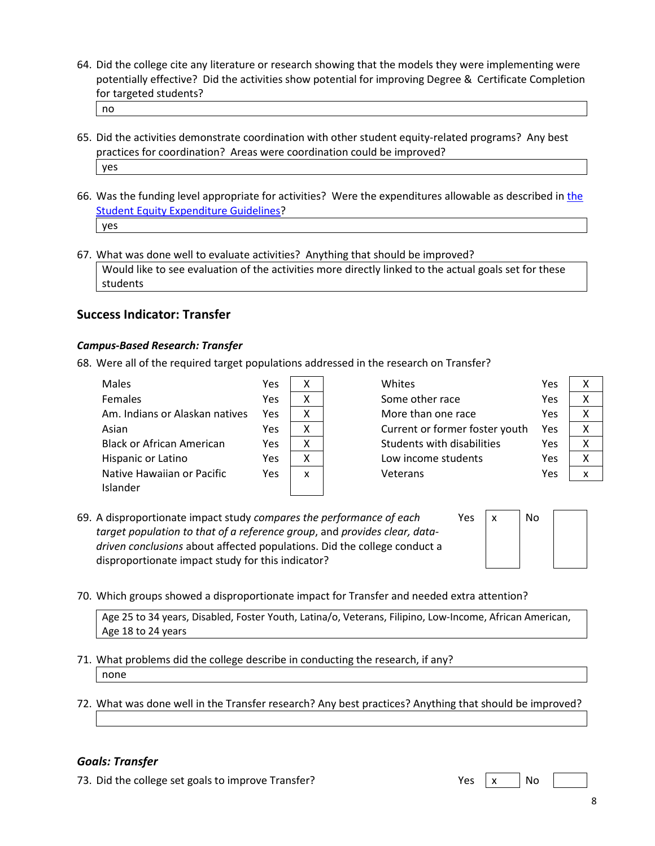64. Did the college cite any literature or research showing that the models they were implementing were potentially effective? Did the activities show potential for improving Degree & Certificate Completion for targeted students?

no

- 65. Did the activities demonstrate coordination with other student equity-related programs? Any best practices for coordination? Areas were coordination could be improved? yes
- 66. Was the funding level appropriate for activities? Were the expenditures allowable as described in [the](http://extranet.cccco.edu/Portals/1/SSSP/StudentEquity/Student_Equity_Expenditure_Guidelines_2015-16_Final.pdf)  [Student Equity Expenditure Guidelines?](http://extranet.cccco.edu/Portals/1/SSSP/StudentEquity/Student_Equity_Expenditure_Guidelines_2015-16_Final.pdf) yes
- 67. What was done well to evaluate activities? Anything that should be improved? Would like to see evaluation of the activities more directly linked to the actual goals set for these students

### **Success Indicator: Transfer**

#### *Campus-Based Research: Transfer*

68. Were all of the required target populations addressed in the research on Transfer?

| <b>Females</b><br>Yes<br>x<br>Am. Indians or Alaskan natives<br>x<br>Yes<br>x<br>Yes<br>Asian<br><b>Black or African American</b><br>Yes<br>x |
|-----------------------------------------------------------------------------------------------------------------------------------------------|
|                                                                                                                                               |
|                                                                                                                                               |
|                                                                                                                                               |
|                                                                                                                                               |
| Yes<br>Hispanic or Latino<br>x                                                                                                                |
| Native Hawaiian or Pacific<br>Yes<br>x                                                                                                        |
| Islander                                                                                                                                      |

| Whites                            | Yes | x |
|-----------------------------------|-----|---|
| Some other race                   | Yes | x |
| More than one race                | Yes | χ |
| Current or former foster youth    | Yes | x |
| <b>Students with disabilities</b> | Yes | χ |
| Low income students               | Yes | χ |
| Veterans                          | Yes |   |
|                                   |     |   |

| S | x |
|---|---|
| S | Χ |
| S | X |
| S | x |
| S | x |
| S | x |
| Ś | x |
|   |   |

69. A disproportionate impact study *compares the performance of each target population to that of a reference group*, and *provides clear, datadriven conclusions* about affected populations. Did the college conduct a disproportionate impact study for this indicator?



70. Which groups showed a disproportionate impact for Transfer and needed extra attention?

Age 25 to 34 years, Disabled, Foster Youth, Latina/o, Veterans, Filipino, Low-Income, African American, Age 18 to 24 years

- 71. What problems did the college describe in conducting the research, if any? none
- 72. What was done well in the Transfer research? Any best practices? Anything that should be improved?

## *Goals: Transfer*

73. Did the college set goals to improve Transfer? Yes x No

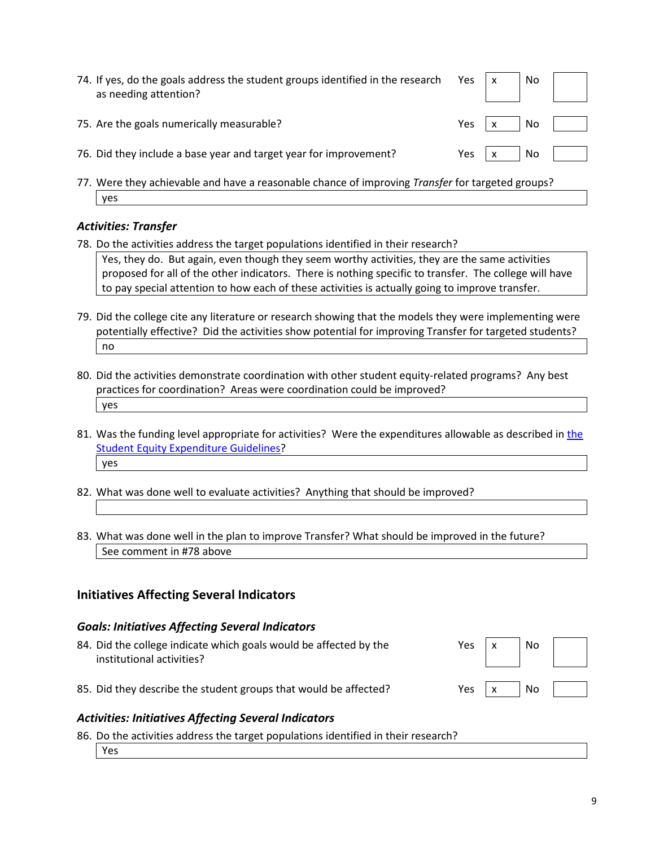| 74. If yes, do the goals address the student groups identified in the research Yes $\begin{vmatrix} x \\ y \end{vmatrix}$ No $\begin{vmatrix} x \\ y \end{vmatrix}$<br>as needing attention? |                                  |  |
|----------------------------------------------------------------------------------------------------------------------------------------------------------------------------------------------|----------------------------------|--|
| 75. Are the goals numerically measurable?                                                                                                                                                    | Yes $x \mid \mathbb{N}$   $\mid$ |  |
| 76. Did they include a base year and target year for improvement?                                                                                                                            | Yes $x \mid \mathbb{N}$   $\mid$ |  |
| 77 Were thou achievable and bays a reasonable chance of improving Transfer for targeted groups?                                                                                              |                                  |  |

77. Were they achievable and have a reasonable chance of improving *Transfer* for targeted groups? yes

### *Activities: Transfer*

78. Do the activities address the target populations identified in their research? Yes, they do. But again, even though they seem worthy activities, they are the same activities

proposed for all of the other indicators. There is nothing specific to transfer. The college will have to pay special attention to how each of these activities is actually going to improve transfer.

- 79. Did the college cite any literature or research showing that the models they were implementing were potentially effective? Did the activities show potential for improving Transfer for targeted students? no
- 80. Did the activities demonstrate coordination with other student equity-related programs? Any best practices for coordination? Areas were coordination could be improved? yes
- 81. Was the funding level appropriate for activities? Were the expenditures allowable as described in [the](http://extranet.cccco.edu/Portals/1/SSSP/StudentEquity/Student_Equity_Expenditure_Guidelines_2015-16_Final.pdf)  [Student Equity Expenditure Guidelines?](http://extranet.cccco.edu/Portals/1/SSSP/StudentEquity/Student_Equity_Expenditure_Guidelines_2015-16_Final.pdf) yes
- 82. What was done well to evaluate activities? Anything that should be improved?
- 83. What was done well in the plan to improve Transfer? What should be improved in the future? See comment in #78 above

## **Initiatives Affecting Several Indicators**

#### *Goals: Initiatives Affecting Several Indicators*

| 84. Did the college indicate which goals would be affected by the<br>institutional activities? | Yes | No. |  |
|------------------------------------------------------------------------------------------------|-----|-----|--|
| 85. Did they describe the student groups that would be affected?                               | Yes | No. |  |

## *Activities: Initiatives Affecting Several Indicators*

86. Do the activities address the target populations identified in their research? Yes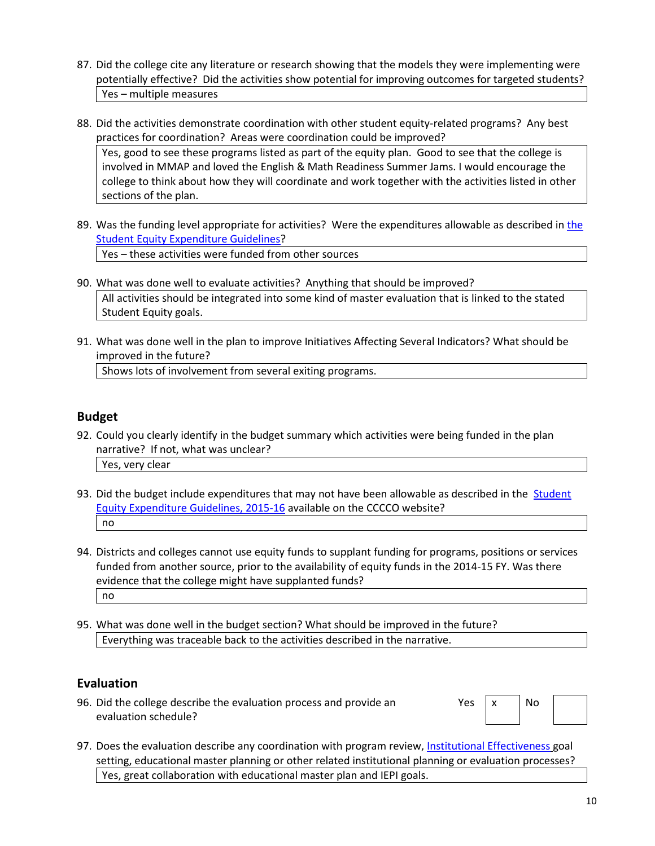- 87. Did the college cite any literature or research showing that the models they were implementing were potentially effective? Did the activities show potential for improving outcomes for targeted students? Yes – multiple measures
- 88. Did the activities demonstrate coordination with other student equity-related programs? Any best practices for coordination? Areas were coordination could be improved? Yes, good to see these programs listed as part of the equity plan. Good to see that the college is

involved in MMAP and loved the English & Math Readiness Summer Jams. I would encourage the college to think about how they will coordinate and work together with the activities listed in other sections of the plan.

- 89. Was the funding level appropriate for activities? Were the expenditures allowable as described in [the](http://extranet.cccco.edu/Portals/1/SSSP/StudentEquity/Student_Equity_Expenditure_Guidelines_2015-16_Final.pdf)  [Student Equity Expenditure Guidelines?](http://extranet.cccco.edu/Portals/1/SSSP/StudentEquity/Student_Equity_Expenditure_Guidelines_2015-16_Final.pdf) Yes – these activities were funded from other sources
- 90. What was done well to evaluate activities? Anything that should be improved? All activities should be integrated into some kind of master evaluation that is linked to the stated Student Equity goals.
- 91. What was done well in the plan to improve Initiatives Affecting Several Indicators? What should be improved in the future?

Shows lots of involvement from several exiting programs.

# **Budget**

- 92. Could you clearly identify in the budget summary which activities were being funded in the plan narrative? If not, what was unclear? Yes, very clear
- 93. Did the budget include expenditures that may not have been allowable as described in the **Student** [Equity Expenditure Guidelines, 2015-16](http://extranet.cccco.edu/Portals/1/SSSP/StudentEquity/Student_Equity_Expenditure_Guidelines_2015-16_Final.pdf) available on the CCCCO website? no
- 94. Districts and colleges cannot use equity funds to supplant funding for programs, positions or services funded from another source, prior to the availability of equity funds in the 2014-15 FY. Was there evidence that the college might have supplanted funds? no
- 95. What was done well in the budget section? What should be improved in the future? Everything was traceable back to the activities described in the narrative.

## **Evaluation**

96. Did the college describe the evaluation process and provide an evaluation schedule?

| Yes | x | No |  |
|-----|---|----|--|
|     |   |    |  |

97. Does the evaluation describe any coordination with program review, [Institutional Effectiveness](http://extranet.cccco.edu/Divisions/InstitutionalEffectiveness.aspx) goal setting, educational master planning or other related institutional planning or evaluation processes? Yes, great collaboration with educational master plan and IEPI goals.